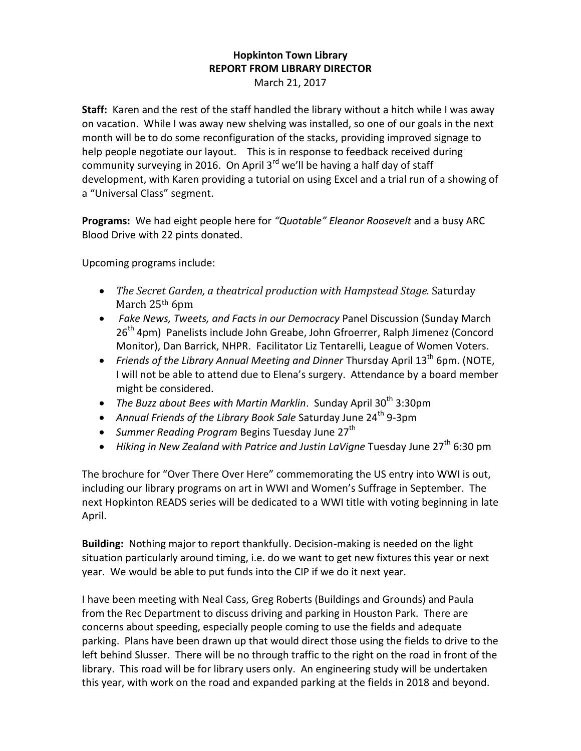## **Hopkinton Town Library REPORT FROM LIBRARY DIRECTOR** March 21, 2017

**Staff:** Karen and the rest of the staff handled the library without a hitch while I was away on vacation. While I was away new shelving was installed, so one of our goals in the next month will be to do some reconfiguration of the stacks, providing improved signage to help people negotiate our layout. This is in response to feedback received during community surveying in 2016. On April  $3<sup>rd</sup>$  we'll be having a half day of staff development, with Karen providing a tutorial on using Excel and a trial run of a showing of a "Universal Class" segment.

**Programs:** We had eight people here for *"Quotable" Eleanor Roosevelt* and a busy ARC Blood Drive with 22 pints donated.

Upcoming programs include:

- *The Secret Garden, a theatrical production with Hampstead Stage.* Saturday March 25<sup>th</sup> 6pm
- *Fake News, Tweets, and Facts in our Democracy* Panel Discussion (Sunday March 26<sup>th</sup> 4pm) Panelists include John Greabe, John Gfroerrer, Ralph Jimenez (Concord Monitor), Dan Barrick, NHPR. Facilitator Liz Tentarelli, League of Women Voters.
- Friends of the Library Annual Meeting and Dinner Thursday April 13<sup>th</sup> 6pm. (NOTE, I will not be able to attend due to Elena's surgery. Attendance by a board member might be considered.
- The Buzz about Bees with Martin Marklin. Sunday April 30<sup>th</sup> 3:30pm
- Annual Friends of the Library Book Sale Saturday June 24<sup>th</sup> 9-3pm
- *Summer Reading Program* Begins Tuesday June 27<sup>th</sup>
- Hiking in New Zealand with Patrice and Justin LaVigne Tuesday June 27<sup>th</sup> 6:30 pm

The brochure for "Over There Over Here" commemorating the US entry into WWI is out, including our library programs on art in WWI and Women's Suffrage in September. The next Hopkinton READS series will be dedicated to a WWI title with voting beginning in late April.

**Building:** Nothing major to report thankfully. Decision-making is needed on the light situation particularly around timing, i.e. do we want to get new fixtures this year or next year. We would be able to put funds into the CIP if we do it next year.

I have been meeting with Neal Cass, Greg Roberts (Buildings and Grounds) and Paula from the Rec Department to discuss driving and parking in Houston Park. There are concerns about speeding, especially people coming to use the fields and adequate parking. Plans have been drawn up that would direct those using the fields to drive to the left behind Slusser. There will be no through traffic to the right on the road in front of the library. This road will be for library users only. An engineering study will be undertaken this year, with work on the road and expanded parking at the fields in 2018 and beyond.